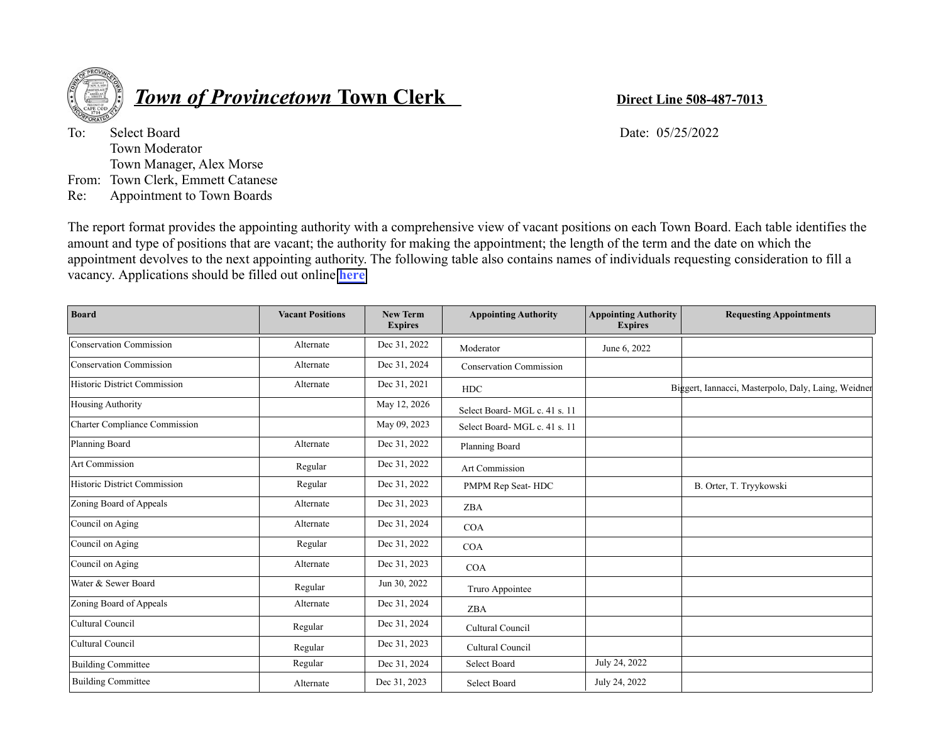

## *<u>Town of Provincetown Town Clerk <b>Direct Line 508-487-7013*</u>

To: Select Board Date: 05/25/2022 Town Moderator Town Manager, Alex Morse From: Town Clerk, Emmett Catanese Re: Appointment to Town Boards

The report format provides the appointing authority with a comprehensive view of vacant positions on each Town Board. Each table identifies the amount and type of positions that are vacant; the authority for making the appointment; the length of the term and the date on which the appointment devolves to the next appointing authority. The following table also contains names of individuals requesting consideration to fill a vacancy. Applications should be filled out online **[here](https://provincetownma.viewpointcloud.com/categories/1074/record-types/1006552)**

| <b>Board</b>                        | <b>Vacant Positions</b> | <b>New Term</b><br><b>Expires</b> | <b>Appointing Authority</b><br><b>Appointing Authority</b><br><b>Expires</b> |               | <b>Requesting Appointments</b>                      |  |
|-------------------------------------|-------------------------|-----------------------------------|------------------------------------------------------------------------------|---------------|-----------------------------------------------------|--|
| Conservation Commission             | Alternate               | Dec 31, 2022                      | Moderator                                                                    | June 6, 2022  |                                                     |  |
| <b>Conservation Commission</b>      | Alternate               | Dec 31, 2024                      | <b>Conservation Commission</b>                                               |               |                                                     |  |
| Historic District Commission        | Alternate               | Dec 31, 2021                      | <b>HDC</b>                                                                   |               | Biggert, Iannacci, Masterpolo, Daly, Laing, Weidner |  |
| Housing Authority                   |                         | May 12, 2026                      | Select Board-MGL c. 41 s. 11                                                 |               |                                                     |  |
| Charter Compliance Commission       |                         | May 09, 2023                      | Select Board-MGL c. 41 s. 11                                                 |               |                                                     |  |
| Planning Board                      | Alternate               | Dec 31, 2022                      | Planning Board                                                               |               |                                                     |  |
| Art Commission                      | Regular                 | Dec 31, 2022                      | Art Commission                                                               |               |                                                     |  |
| <b>Historic District Commission</b> | Regular                 | Dec 31, 2022                      | PMPM Rep Seat-HDC                                                            |               | B. Orter, T. Tryykowski                             |  |
| Zoning Board of Appeals             | Alternate               | Dec 31, 2023                      | <b>ZBA</b>                                                                   |               |                                                     |  |
| Council on Aging                    | Alternate               | Dec 31, 2024                      | <b>COA</b>                                                                   |               |                                                     |  |
| Council on Aging                    | Regular                 | Dec 31, 2022                      | <b>COA</b>                                                                   |               |                                                     |  |
| Council on Aging                    | Alternate               | Dec 31, 2023                      | COA                                                                          |               |                                                     |  |
| Water & Sewer Board                 | Regular                 | Jun 30, 2022                      | Truro Appointee                                                              |               |                                                     |  |
| Zoning Board of Appeals             | Alternate               | Dec 31, 2024                      | ZBA                                                                          |               |                                                     |  |
| Cultural Council                    | Regular                 | Dec 31, 2024                      | Cultural Council                                                             |               |                                                     |  |
| Cultural Council                    | Regular                 | Dec 31, 2023                      | Cultural Council                                                             |               |                                                     |  |
| <b>Building Committee</b>           | Regular                 | Dec 31, 2024                      | Select Board                                                                 | July 24, 2022 |                                                     |  |
| <b>Building Committee</b>           | Alternate               | Dec 31, 2023                      | Select Board                                                                 | July 24, 2022 |                                                     |  |